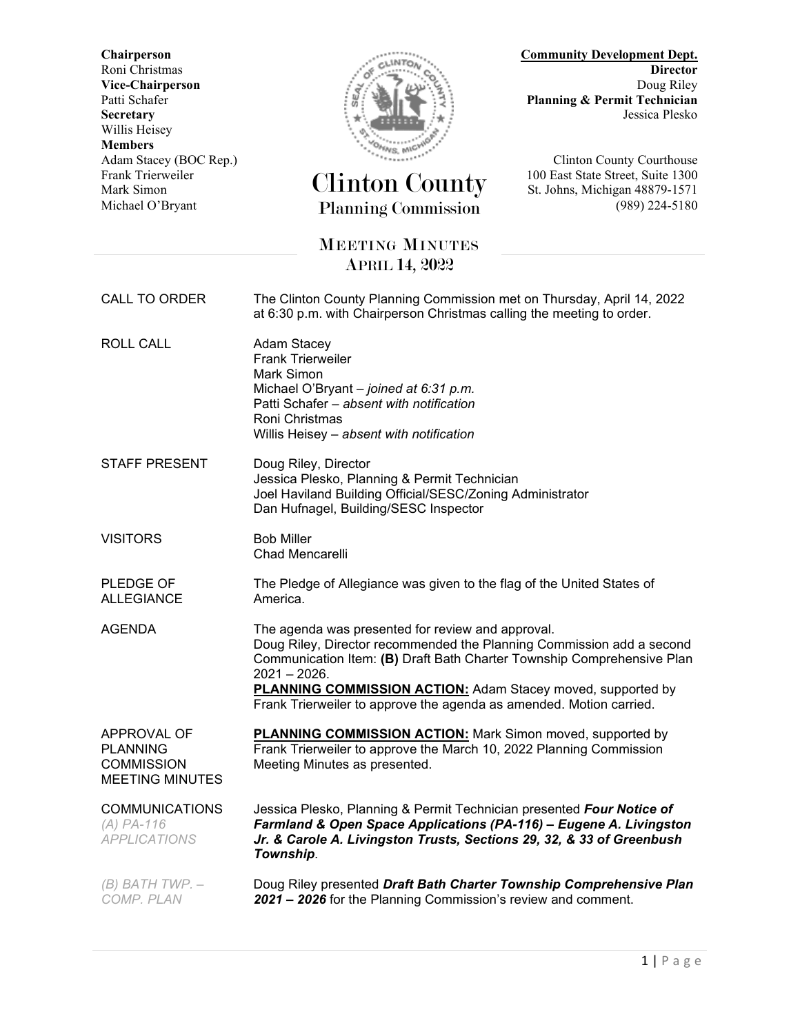**Secretary** Jessica Plesko Willis Heisey **Members**



## Frank Trierweiler Clinton County 100 East State Street, Suite 1300 Mark Simon St. Johns, Michigan 48879-1571 Michael O'Bryant Planning Commission (989) 224-5180

**Chairperson Community Development Dept.** Roni Christmas **Director Vice-Chairperson** Doug Riley<br>Patti Schafer **Doug Riley**<br>Planning & Permit Technician Planning & Permit Technician

Adam Stacey (BOC Rep.)<br>
Frank Trierweiler (CH Courthouse Courthouse Courthouse Courthouse Courthouse Courthouse Courthouse Courthouse

## MEETING MINUTES APRIL 14, 2022

CALL TO ORDER The Clinton County Planning Commission met on Thursday, April 14, 2022 at 6:30 p.m. with Chairperson Christmas calling the meeting to order. ROLL CALL Adam Stacey Frank Trierweiler Mark Simon Michael O'Bryant – *joined at 6:31 p.m.* Patti Schafer – *absent with notification* Roni Christmas Willis Heisey – *absent with notification* STAFF PRESENT Doug Riley, Director Jessica Plesko, Planning & Permit Technician Joel Haviland Building Official/SESC/Zoning Administrator Dan Hufnagel, Building/SESC Inspector VISITORS Bob Miller Chad Mencarelli PLEDGE OF ALLEGIANCE The Pledge of Allegiance was given to the flag of the United States of America. AGENDA The agenda was presented for review and approval. Doug Riley, Director recommended the Planning Commission add a second Communication Item: **(B)** Draft Bath Charter Township Comprehensive Plan 2021 – 2026. **PLANNING COMMISSION ACTION:** Adam Stacey moved, supported by Frank Trierweiler to approve the agenda as amended. Motion carried. APPROVAL OF **PLANNING COMMISSION** MEETING MINUTES **PLANNING COMMISSION ACTION:** Mark Simon moved, supported by Frank Trierweiler to approve the March 10, 2022 Planning Commission Meeting Minutes as presented. COMMUNICATIONS *(A) PA-116 APPLICATIONS* Jessica Plesko, Planning & Permit Technician presented *Four Notice of Farmland & Open Space Applications (PA-116) – Eugene A. Livingston Jr. & Carole A. Livingston Trusts, Sections 29, 32, & 33 of Greenbush Township*. *(B) BATH TWP. – COMP. PLAN* Doug Riley presented *Draft Bath Charter Township Comprehensive Plan 2021 – 2026* for the Planning Commission's review and comment.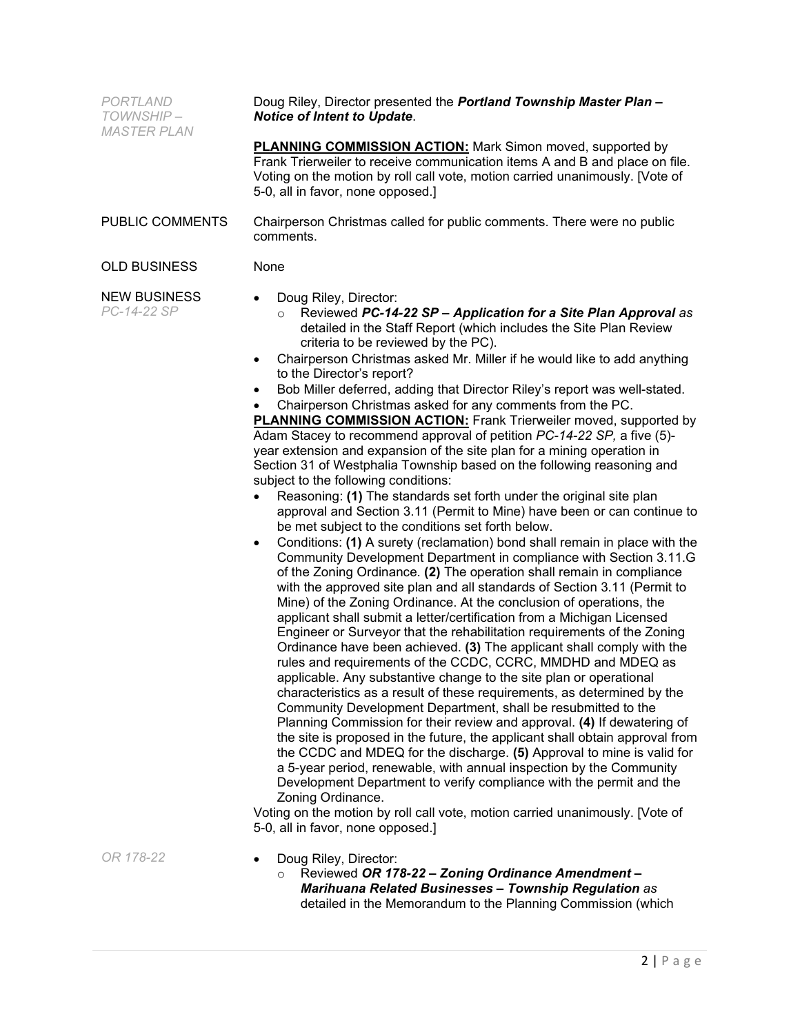| PORTLAND<br>TOWNSHIP-<br><b>MASTER PLAN</b> | Doug Riley, Director presented the Portland Township Master Plan -<br><b>Notice of Intent to Update.</b>                                                                                                                                                                                                                                                                                                                                                                                                                                                                                                                                                                                                                                                                                                                                                                                                                                                                                                                                                                                                                                                                                                                                                                                                                                                                                                                                                                                                                                                                                                                                                                                                                                                                                                                                                                                                                                                                                                                                                                                                                                                                                                                                                                                                                                                                                                                                                                                                     |
|---------------------------------------------|--------------------------------------------------------------------------------------------------------------------------------------------------------------------------------------------------------------------------------------------------------------------------------------------------------------------------------------------------------------------------------------------------------------------------------------------------------------------------------------------------------------------------------------------------------------------------------------------------------------------------------------------------------------------------------------------------------------------------------------------------------------------------------------------------------------------------------------------------------------------------------------------------------------------------------------------------------------------------------------------------------------------------------------------------------------------------------------------------------------------------------------------------------------------------------------------------------------------------------------------------------------------------------------------------------------------------------------------------------------------------------------------------------------------------------------------------------------------------------------------------------------------------------------------------------------------------------------------------------------------------------------------------------------------------------------------------------------------------------------------------------------------------------------------------------------------------------------------------------------------------------------------------------------------------------------------------------------------------------------------------------------------------------------------------------------------------------------------------------------------------------------------------------------------------------------------------------------------------------------------------------------------------------------------------------------------------------------------------------------------------------------------------------------------------------------------------------------------------------------------------------------|
|                                             | <b>PLANNING COMMISSION ACTION:</b> Mark Simon moved, supported by<br>Frank Trierweiler to receive communication items A and B and place on file.<br>Voting on the motion by roll call vote, motion carried unanimously. [Vote of<br>5-0, all in favor, none opposed.]                                                                                                                                                                                                                                                                                                                                                                                                                                                                                                                                                                                                                                                                                                                                                                                                                                                                                                                                                                                                                                                                                                                                                                                                                                                                                                                                                                                                                                                                                                                                                                                                                                                                                                                                                                                                                                                                                                                                                                                                                                                                                                                                                                                                                                        |
| PUBLIC COMMENTS                             | Chairperson Christmas called for public comments. There were no public<br>comments.                                                                                                                                                                                                                                                                                                                                                                                                                                                                                                                                                                                                                                                                                                                                                                                                                                                                                                                                                                                                                                                                                                                                                                                                                                                                                                                                                                                                                                                                                                                                                                                                                                                                                                                                                                                                                                                                                                                                                                                                                                                                                                                                                                                                                                                                                                                                                                                                                          |
| <b>OLD BUSINESS</b>                         | None                                                                                                                                                                                                                                                                                                                                                                                                                                                                                                                                                                                                                                                                                                                                                                                                                                                                                                                                                                                                                                                                                                                                                                                                                                                                                                                                                                                                                                                                                                                                                                                                                                                                                                                                                                                                                                                                                                                                                                                                                                                                                                                                                                                                                                                                                                                                                                                                                                                                                                         |
| <b>NEW BUSINESS</b><br>PC-14-22 SP          | Doug Riley, Director:<br>$\bullet$<br>Reviewed PC-14-22 SP - Application for a Site Plan Approval as<br>detailed in the Staff Report (which includes the Site Plan Review<br>criteria to be reviewed by the PC).<br>Chairperson Christmas asked Mr. Miller if he would like to add anything<br>$\bullet$<br>to the Director's report?<br>Bob Miller deferred, adding that Director Riley's report was well-stated.<br>$\bullet$<br>Chairperson Christmas asked for any comments from the PC.<br><b>PLANNING COMMISSION ACTION:</b> Frank Trierweiler moved, supported by<br>Adam Stacey to recommend approval of petition PC-14-22 SP, a five (5)-<br>year extension and expansion of the site plan for a mining operation in<br>Section 31 of Westphalia Township based on the following reasoning and<br>subject to the following conditions:<br>Reasoning: (1) The standards set forth under the original site plan<br>$\bullet$<br>approval and Section 3.11 (Permit to Mine) have been or can continue to<br>be met subject to the conditions set forth below.<br>Conditions: (1) A surety (reclamation) bond shall remain in place with the<br>$\bullet$<br>Community Development Department in compliance with Section 3.11.G<br>of the Zoning Ordinance. (2) The operation shall remain in compliance<br>with the approved site plan and all standards of Section 3.11 (Permit to<br>Mine) of the Zoning Ordinance. At the conclusion of operations, the<br>applicant shall submit a letter/certification from a Michigan Licensed<br>Engineer or Surveyor that the rehabilitation requirements of the Zoning<br>Ordinance have been achieved. (3) The applicant shall comply with the<br>rules and requirements of the CCDC, CCRC, MMDHD and MDEQ as<br>applicable. Any substantive change to the site plan or operational<br>characteristics as a result of these requirements, as determined by the<br>Community Development Department, shall be resubmitted to the<br>Planning Commission for their review and approval. (4) If dewatering of<br>the site is proposed in the future, the applicant shall obtain approval from<br>the CCDC and MDEQ for the discharge. (5) Approval to mine is valid for<br>a 5-year period, renewable, with annual inspection by the Community<br>Development Department to verify compliance with the permit and the<br>Zoning Ordinance.<br>Voting on the motion by roll call vote, motion carried unanimously. [Vote of<br>5-0, all in favor, none opposed.] |
| OR 178-22                                   | Doug Riley, Director:<br>$\bullet$<br>Reviewed OR 178-22 - Zoning Ordinance Amendment -<br>$\circ$<br><b>Marihuana Related Businesses - Township Regulation as</b>                                                                                                                                                                                                                                                                                                                                                                                                                                                                                                                                                                                                                                                                                                                                                                                                                                                                                                                                                                                                                                                                                                                                                                                                                                                                                                                                                                                                                                                                                                                                                                                                                                                                                                                                                                                                                                                                                                                                                                                                                                                                                                                                                                                                                                                                                                                                           |

detailed in the Memorandum to the Planning Commission (which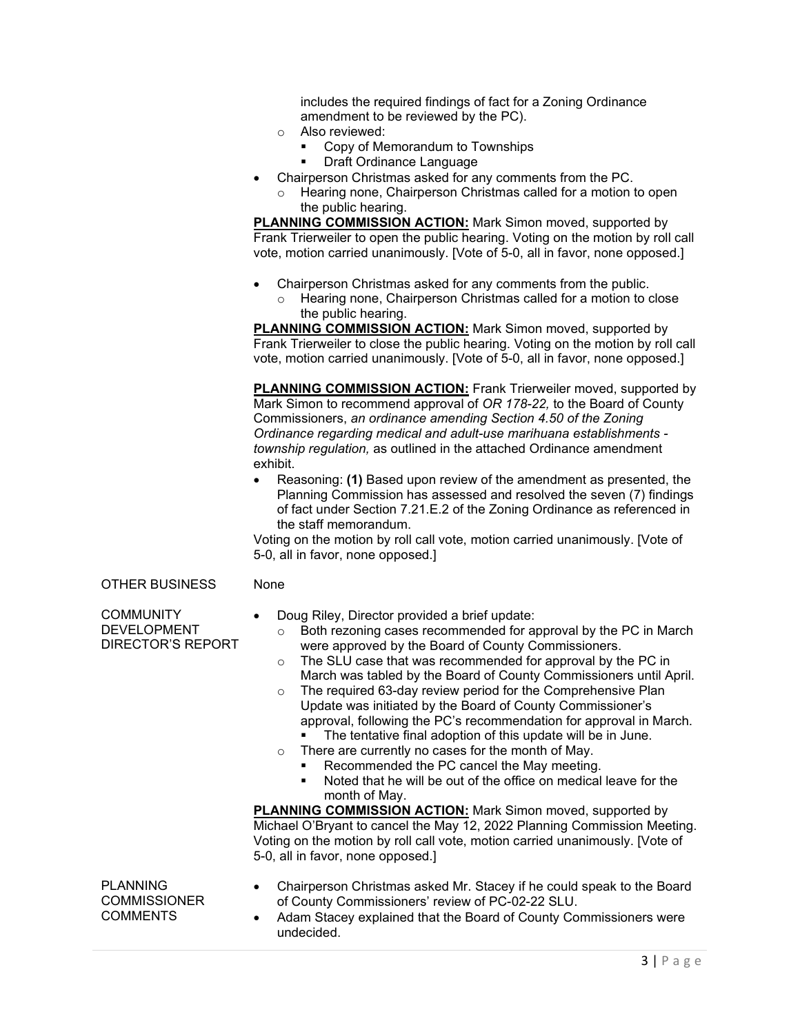includes the required findings of fact for a Zoning Ordinance amendment to be reviewed by the PC).

- o Also reviewed:
	- Copy of Memorandum to Townships
	- Draft Ordinance Language
- Chairperson Christmas asked for any comments from the PC.
	- Hearing none, Chairperson Christmas called for a motion to open the public hearing.

**PLANNING COMMISSION ACTION:** Mark Simon moved, supported by Frank Trierweiler to open the public hearing. Voting on the motion by roll call vote, motion carried unanimously. [Vote of 5-0, all in favor, none opposed.]

- Chairperson Christmas asked for any comments from the public.
	- Hearing none, Chairperson Christmas called for a motion to close the public hearing.

**PLANNING COMMISSION ACTION:** Mark Simon moved, supported by Frank Trierweiler to close the public hearing. Voting on the motion by roll call vote, motion carried unanimously. [Vote of 5-0, all in favor, none opposed.]

**PLANNING COMMISSION ACTION:** Frank Trierweiler moved, supported by Mark Simon to recommend approval of *OR 178-22,* to the Board of County Commissioners, *an ordinance amending Section 4.50 of the Zoning Ordinance regarding medical and adult-use marihuana establishments township regulation,* as outlined in the attached Ordinance amendment exhibit.

• Reasoning: **(1)** Based upon review of the amendment as presented, the Planning Commission has assessed and resolved the seven (7) findings of fact under Section 7.21.E.2 of the Zoning Ordinance as referenced in the staff memorandum.

Voting on the motion by roll call vote, motion carried unanimously. [Vote of 5-0, all in favor, none opposed.]

## OTHER BUSINESS None

COMMUNITY DEVELOPMENT DIRECTOR'S REPORT

- Doug Riley, Director provided a brief update:
	- $\circ$  Both rezoning cases recommended for approval by the PC in March were approved by the Board of County Commissioners.
	- o The SLU case that was recommended for approval by the PC in March was tabled by the Board of County Commissioners until April.
	- o The required 63-day review period for the Comprehensive Plan Update was initiated by the Board of County Commissioner's approval, following the PC's recommendation for approval in March. • The tentative final adoption of this update will be in June.
		-
	- $\circ$  There are currently no cases for the month of May. Recommended the PC cancel the May meeting.
		- Noted that he will be out of the office on medical leave for the month of May.

**PLANNING COMMISSION ACTION:** Mark Simon moved, supported by Michael O'Bryant to cancel the May 12, 2022 Planning Commission Meeting. Voting on the motion by roll call vote, motion carried unanimously. [Vote of 5-0, all in favor, none opposed.]

PLANNING **COMMISSIONER COMMENTS** 

- Chairperson Christmas asked Mr. Stacey if he could speak to the Board of County Commissioners' review of PC-02-22 SLU.
- Adam Stacey explained that the Board of County Commissioners were undecided.